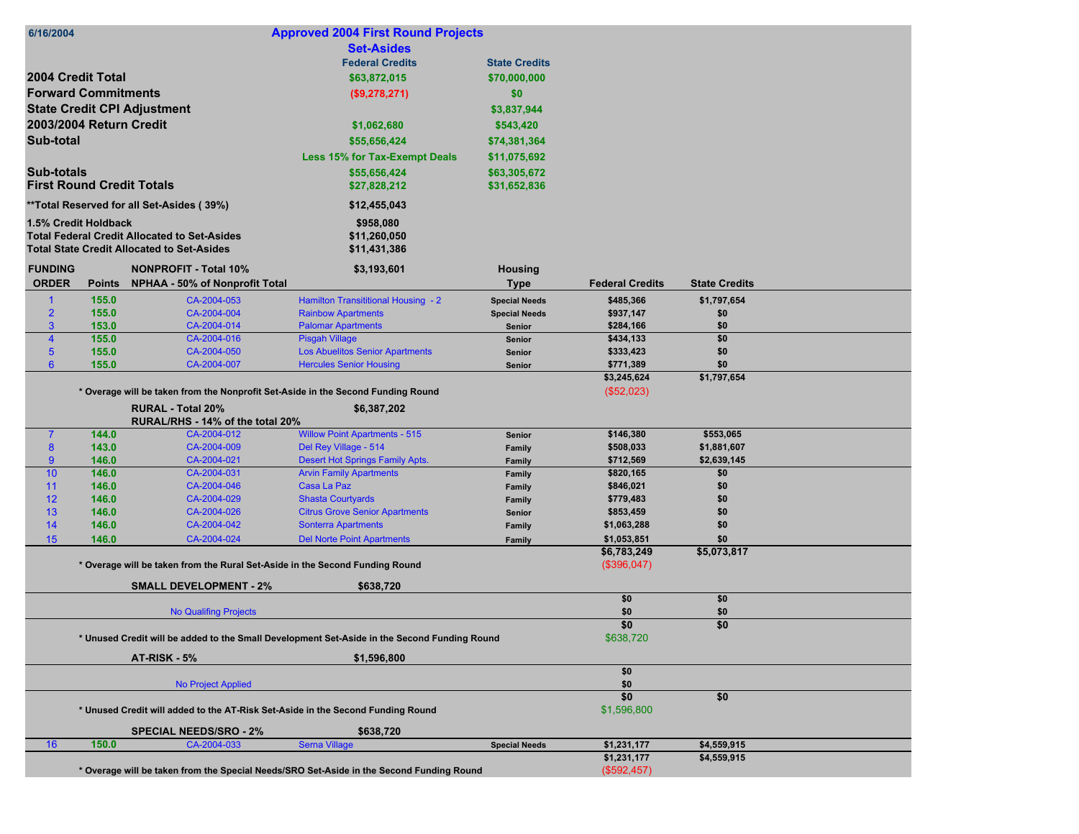| 6/16/2004                        |                                  |                                                                              | <b>Approved 2004 First Round Projects</b>                                                    |                      |                            |                      |  |
|----------------------------------|----------------------------------|------------------------------------------------------------------------------|----------------------------------------------------------------------------------------------|----------------------|----------------------------|----------------------|--|
|                                  |                                  |                                                                              | <b>Set-Asides</b>                                                                            |                      |                            |                      |  |
|                                  |                                  |                                                                              | <b>Federal Credits</b>                                                                       | <b>State Credits</b> |                            |                      |  |
|                                  | 2004 Credit Total                |                                                                              | \$63,872,015                                                                                 | \$70,000,000         |                            |                      |  |
|                                  | <b>Forward Commitments</b>       |                                                                              |                                                                                              |                      |                            |                      |  |
|                                  |                                  |                                                                              | (\$9,278,271)                                                                                | \$0                  |                            |                      |  |
|                                  |                                  | <b>State Credit CPI Adjustment</b>                                           |                                                                                              | \$3,837,944          |                            |                      |  |
|                                  | 2003/2004 Return Credit          |                                                                              | \$1,062,680                                                                                  | \$543,420            |                            |                      |  |
| Sub-total                        |                                  |                                                                              | \$55,656,424                                                                                 | \$74,381,364         |                            |                      |  |
|                                  |                                  |                                                                              | <b>Less 15% for Tax-Exempt Deals</b>                                                         | \$11,075,692         |                            |                      |  |
| <b>Sub-totals</b>                |                                  |                                                                              | \$55,656,424                                                                                 | \$63,305,672         |                            |                      |  |
|                                  | <b>First Round Credit Totals</b> |                                                                              | \$27,828,212                                                                                 | \$31,652,836         |                            |                      |  |
|                                  |                                  | **Total Reserved for all Set-Asides (39%)                                    | \$12,455,043                                                                                 |                      |                            |                      |  |
|                                  |                                  |                                                                              |                                                                                              |                      |                            |                      |  |
|                                  | 1.5% Credit Holdback             | <b>Total Federal Credit Allocated to Set-Asides</b>                          | \$958,080<br>\$11,260,050                                                                    |                      |                            |                      |  |
|                                  |                                  | <b>Total State Credit Allocated to Set-Asides</b>                            | \$11,431,386                                                                                 |                      |                            |                      |  |
|                                  |                                  |                                                                              |                                                                                              |                      |                            |                      |  |
| <b>FUNDING</b>                   |                                  | <b>NONPROFIT - Total 10%</b>                                                 | \$3,193,601                                                                                  | <b>Housing</b>       |                            |                      |  |
| <b>ORDER</b>                     | <b>Points</b>                    | <b>NPHAA - 50% of Nonprofit Total</b>                                        |                                                                                              | <b>Type</b>          | <b>Federal Credits</b>     | <b>State Credits</b> |  |
|                                  | 155.0                            | CA-2004-053                                                                  | Hamilton Transititional Housing - 2                                                          | <b>Special Needs</b> | \$485,366                  | \$1,797,654          |  |
| $\overline{2}$                   | 155.0                            | CA-2004-004                                                                  | <b>Rainbow Apartments</b>                                                                    | <b>Special Needs</b> | \$937,147                  | \$0                  |  |
| 3                                | 153.0                            | CA-2004-014                                                                  | <b>Palomar Apartments</b>                                                                    | Senior               | \$284,166                  | \$0                  |  |
| $\overline{4}$<br>5 <sup>5</sup> | 155.0<br>155.0                   | CA-2004-016<br>CA-2004-050                                                   | <b>Pisgah Village</b><br><b>Los Abuelitos Senior Apartments</b>                              | Senior<br>Senior     | \$434,133<br>\$333,423     | \$0<br>\$0           |  |
| $6\phantom{1}$                   | 155.0                            | CA-2004-007                                                                  | <b>Hercules Senior Housing</b>                                                               | Senior               | \$771,389                  | \$0                  |  |
|                                  |                                  |                                                                              |                                                                                              |                      | \$3,245,624                | \$1,797,654          |  |
|                                  |                                  |                                                                              | * Overage will be taken from the Nonprofit Set-Aside in the Second Funding Round             |                      | (\$52,023)                 |                      |  |
|                                  |                                  | <b>RURAL - Total 20%</b>                                                     | \$6,387,202                                                                                  |                      |                            |                      |  |
|                                  |                                  | RURAL/RHS - 14% of the total 20%                                             |                                                                                              |                      |                            |                      |  |
| $\overline{7}$                   | 144.0                            | CA-2004-012                                                                  | <b>Willow Point Apartments - 515</b>                                                         | Senior               | \$146,380                  | \$553,065            |  |
| 8                                | 143.0                            | CA-2004-009                                                                  | Del Rey Village - 514                                                                        | Family               | \$508,033                  | \$1,881,607          |  |
| $9^{\circ}$                      | 146.0                            | CA-2004-021                                                                  | Desert Hot Springs Family Apts.                                                              | Family               | \$712,569                  | \$2,639,145          |  |
| 10                               | 146.0                            | CA-2004-031                                                                  | <b>Arvin Family Apartments</b>                                                               | Family               | \$820,165                  | \$0                  |  |
| 11                               | 146.0                            | CA-2004-046                                                                  | Casa La Paz                                                                                  | Family               | \$846,021                  | \$0                  |  |
| 12                               | 146.0                            | CA-2004-029                                                                  | <b>Shasta Courtyards</b>                                                                     | Family               | \$779,483                  | \$0                  |  |
| 13                               | 146.0                            | CA-2004-026                                                                  | <b>Citrus Grove Senior Apartments</b>                                                        | Senior               | \$853,459                  | \$0                  |  |
| 14                               | 146.0                            | CA-2004-042                                                                  | <b>Sonterra Apartments</b>                                                                   | Family               | \$1,063,288                | \$0                  |  |
| 15                               | 146.0                            | CA-2004-024                                                                  | <b>Del Norte Point Apartments</b>                                                            | Family               | \$1,053,851                | \$0<br>\$5,073,817   |  |
|                                  |                                  | * Overage will be taken from the Rural Set-Aside in the Second Funding Round |                                                                                              |                      | \$6,783,249<br>(\$396,047) |                      |  |
|                                  |                                  |                                                                              |                                                                                              |                      |                            |                      |  |
|                                  |                                  | <b>SMALL DEVELOPMENT - 2%</b>                                                | \$638,720                                                                                    |                      |                            |                      |  |
|                                  |                                  |                                                                              |                                                                                              |                      | \$0                        | \$0                  |  |
|                                  |                                  | <b>No Qualifing Projects</b>                                                 |                                                                                              |                      | \$0                        | \$0                  |  |
|                                  |                                  |                                                                              | \$0                                                                                          | \$0                  |                            |                      |  |
|                                  |                                  |                                                                              | * Unused Credit will be added to the Small Development Set-Aside in the Second Funding Round |                      | \$638,720                  |                      |  |
|                                  |                                  | AT-RISK - 5%                                                                 | \$1,596,800                                                                                  |                      |                            |                      |  |
|                                  |                                  |                                                                              |                                                                                              |                      | \$0                        |                      |  |
|                                  |                                  | <b>No Project Applied</b>                                                    |                                                                                              |                      | \$0                        |                      |  |
|                                  |                                  |                                                                              |                                                                                              |                      | \$0                        | \$0                  |  |
|                                  |                                  |                                                                              | * Unused Credit will added to the AT-Risk Set-Aside in the Second Funding Round              |                      | \$1,596,800                |                      |  |
|                                  |                                  | <b>SPECIAL NEEDS/SRO - 2%</b>                                                | \$638,720                                                                                    |                      |                            |                      |  |
| 16                               |                                  |                                                                              |                                                                                              |                      |                            |                      |  |
|                                  | 150.0                            | CA-2004-033                                                                  | <b>Serna Village</b>                                                                         | <b>Special Needs</b> | \$1,231,177                | \$4,559,915          |  |
|                                  |                                  |                                                                              | * Overage will be taken from the Special Needs/SRO Set-Aside in the Second Funding Round     |                      | \$1,231,177<br>(\$592,457) | \$4,559,915          |  |